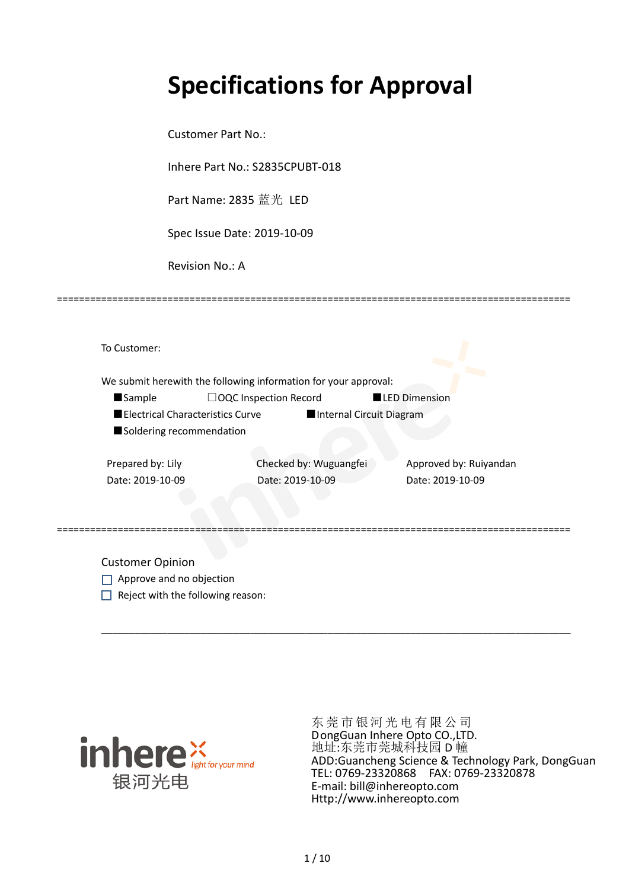# **Specifications for Approval**

Customer Part No.:

Inhere Part No.: S2835CPUBT-018

Part Name: 2835 蓝光 LED

Spec Issue Date: 2019-10-09

Revision No.: A

|                   |                                  | We submit herewith the following information for your approval: |                      |                        |
|-------------------|----------------------------------|-----------------------------------------------------------------|----------------------|------------------------|
| <b>Sample</b>     |                                  | $\Box$ OQC Inspection Record                                    | <b>LED Dimension</b> |                        |
|                   | Electrical Characteristics Curve | Internal Circuit Diagram                                        |                      |                        |
|                   | Soldering recommendation         |                                                                 |                      |                        |
| Prepared by: Lily |                                  | Checked by: Wuguangfei                                          |                      | Approved by: Ruiyandan |
| Date: 2019-10-09  |                                  | Date: 2019-10-09                                                | Date: 2019-10-09     |                        |

=============================================================================================

Customer Opinion

- Approve and no objection
- $\Box$  Reject with the following reason:



东莞市银河光电有限公司 DongGuan Inhere Opto CO.,LTD. 地址:东莞市莞城科技园 D 幢 ADD:Guancheng Science & Technology Park, DongGuan TEL: 0769-23320868 FAX: 0769-23320878 E-mail: bill@inhereopto.com Http://www.inhereopto.com

\_\_\_\_\_\_\_\_\_\_\_\_\_\_\_\_\_\_\_\_\_\_\_\_\_\_\_\_\_\_\_\_\_\_\_\_\_\_\_\_\_\_\_\_\_\_\_\_\_\_\_\_\_\_\_\_\_\_\_\_\_\_\_\_\_\_\_\_\_\_\_\_\_\_\_\_\_\_\_\_\_\_\_\_\_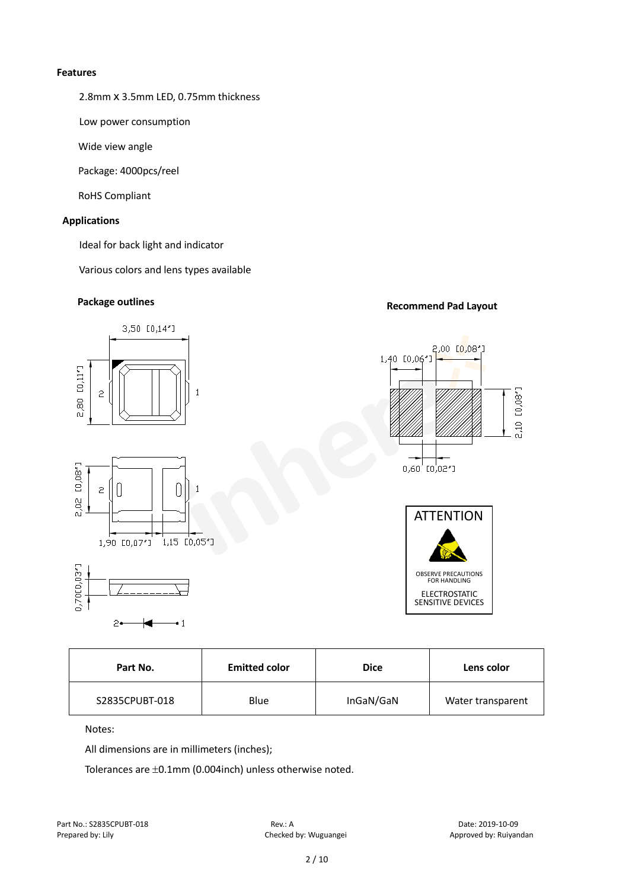#### **Features**

2.8mm x 3.5mm LED, 0.75mm thickness

Low power consumption

Wide view angle

Package: 4000pcs/reel

RoHS Compliant

#### **Applications**

Ideal for back light and indicator

Various colors and lens types available

## **Package outlines Recommend Pad Layout**



| Part No.       | <b>Emitted color</b> | <b>Dice</b> | Lens color        |  |
|----------------|----------------------|-------------|-------------------|--|
| S2835CPUBT-018 | Blue                 | InGaN/GaN   | Water transparent |  |

Notes:

All dimensions are in millimeters (inches);

Tolerances are ±0.1mm (0.004inch) unless otherwise noted.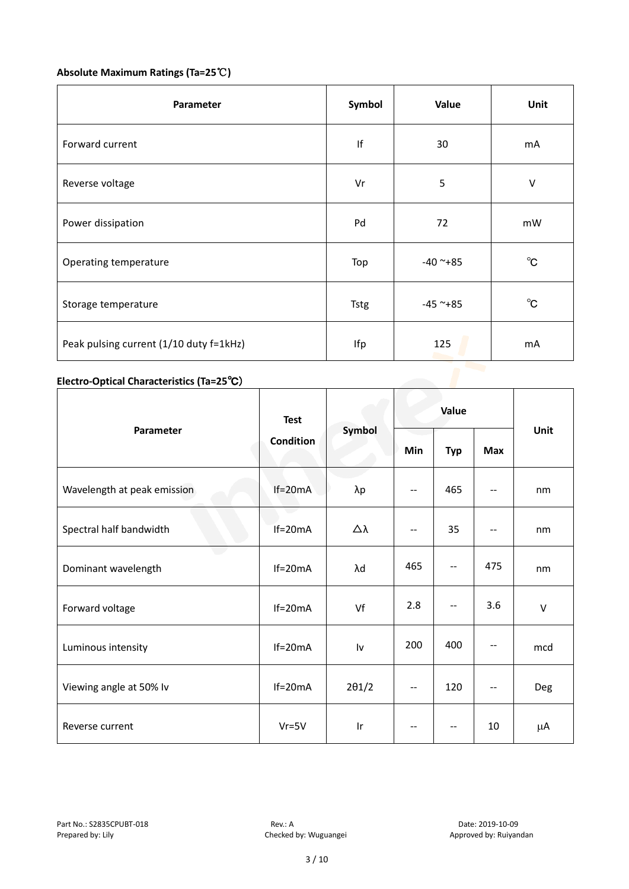### **Absolute Maximum Ratings (Ta=25**℃**)**

| Parameter                               | Symbol      | Value         | Unit         |
|-----------------------------------------|-------------|---------------|--------------|
| Forward current                         | lf          | 30            | mA           |
| Reverse voltage                         | Vr          | 5             | $\vee$       |
| Power dissipation                       | Pd          | 72            | mW           |
| Operating temperature                   | Top         | $-40$ ~+85    | $^{\circ}C$  |
| Storage temperature                     | <b>Tstg</b> | $-45$ ~ $+85$ | $^{\circ}$ C |
| Peak pulsing current (1/10 duty f=1kHz) | Ifp         | 125           | mA           |

#### **Electro-Optical Characteristics (Ta=25**℃)

|                             | <b>Test</b><br><b>Condition</b> | Symbol                  | Value                    |                          |                          |        |
|-----------------------------|---------------------------------|-------------------------|--------------------------|--------------------------|--------------------------|--------|
| Parameter                   |                                 |                         | Min                      | <b>Typ</b>               | <b>Max</b>               | Unit   |
| Wavelength at peak emission | $If=20mA$                       | $\lambda p$             | $\overline{\phantom{a}}$ | 465                      | --                       | nm     |
| Spectral half bandwidth     | e a<br>$If=20mA$                | Δλ                      | $\overline{\phantom{a}}$ | 35                       | --                       | nm     |
| Dominant wavelength         | $If=20mA$                       | λd                      | 465                      | $\overline{\phantom{a}}$ | 475                      | nm     |
| Forward voltage             | $If=20mA$                       | Vf                      | 2.8                      | $- -$                    | 3.6                      | $\vee$ |
| Luminous intensity          | $If=20mA$                       | Iv                      | 200                      | 400                      | --                       | mcd    |
| Viewing angle at 50% lv     | $If=20mA$                       | $2\theta$ 1/2           | $-$                      | 120                      | $\overline{\phantom{a}}$ | Deg    |
| Reverse current             | $Vr = 5V$                       | $\mathsf{I} \mathsf{r}$ | --                       | --                       | 10                       | μA     |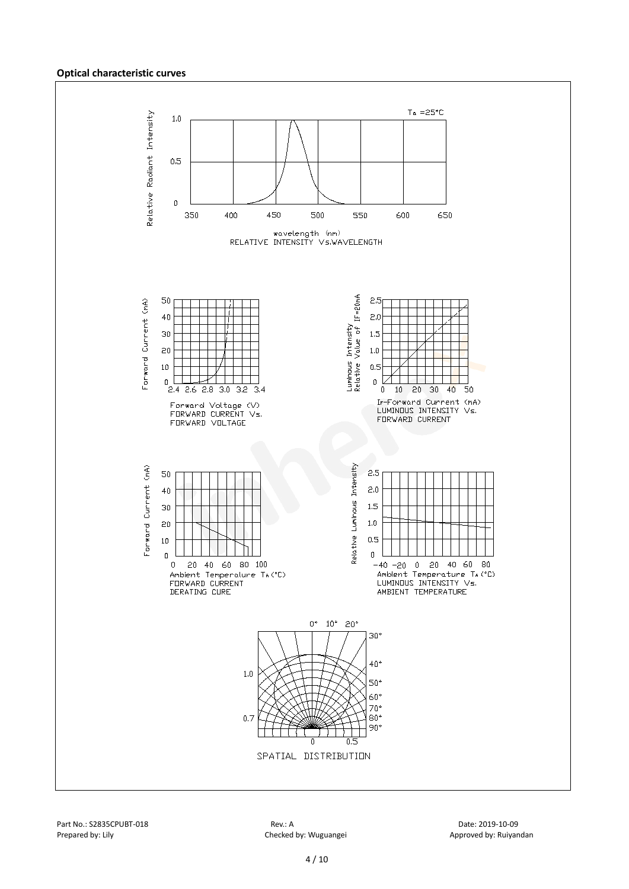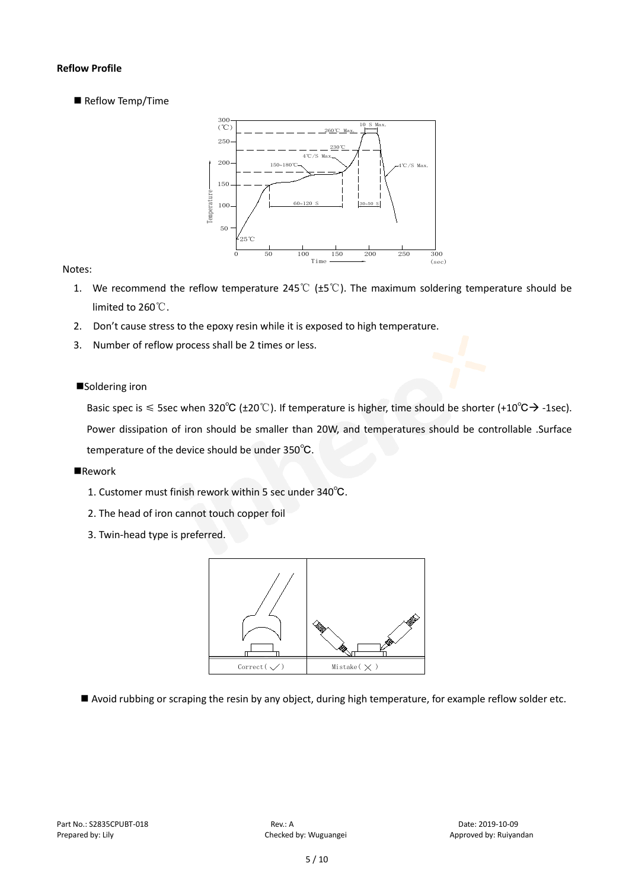#### **Reflow Profile**

Reflow Temp/Time



#### Notes:

- 1. We recommend the reflow temperature 245℃ (±5℃). The maximum soldering temperature should be limited to 260℃.
- 2. Don't cause stress to the epoxy resin while it is exposed to high temperature.
- 3. Number of reflow process shall be 2 times or less.

#### ■Soldering iron

Basic spec is  $\leq$  5sec when 320°C (±20°C). If temperature is higher, time should be shorter (+10°C $\rightarrow$ -1sec). Power dissipation of iron should be smaller than 20W, and temperatures should be controllable .Surface temperature of the device should be under 350℃.

#### **Rework**

- 1. Customer must finish rework within 5 sec under 340℃.
- 2. The head of iron cannot touch copper foil
- 3. Twin-head type is preferred.



Avoid rubbing or scraping the resin by any object, during high temperature, for example reflow solder etc.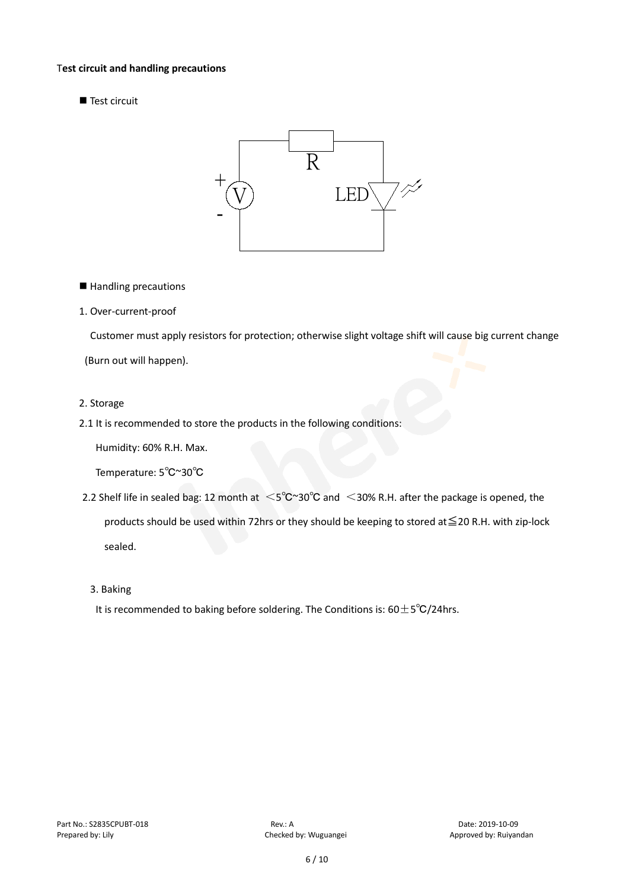#### T**est circuit and handling precautions**

Test circuit



■ Handling precautions

#### 1. Over-current-proof

Customer must apply resistors for protection; otherwise slight voltage shift will cause big current change

(Burn out will happen).

#### 2. Storage

2.1 It is recommended to store the products in the following conditions:

Humidity: 60% R.H. Max.

Temperature: 5℃~30℃

- 2.2 Shelf life in sealed bag: 12 month at <5℃~30°C and <30% R.H. after the package is opened, the products should be used within 72hrs or they should be keeping to stored at≦20 R.H. with zip-lock sealed.
	- 3. Baking

It is recommended to baking before soldering. The Conditions is:  $60±5°C/24$ hrs.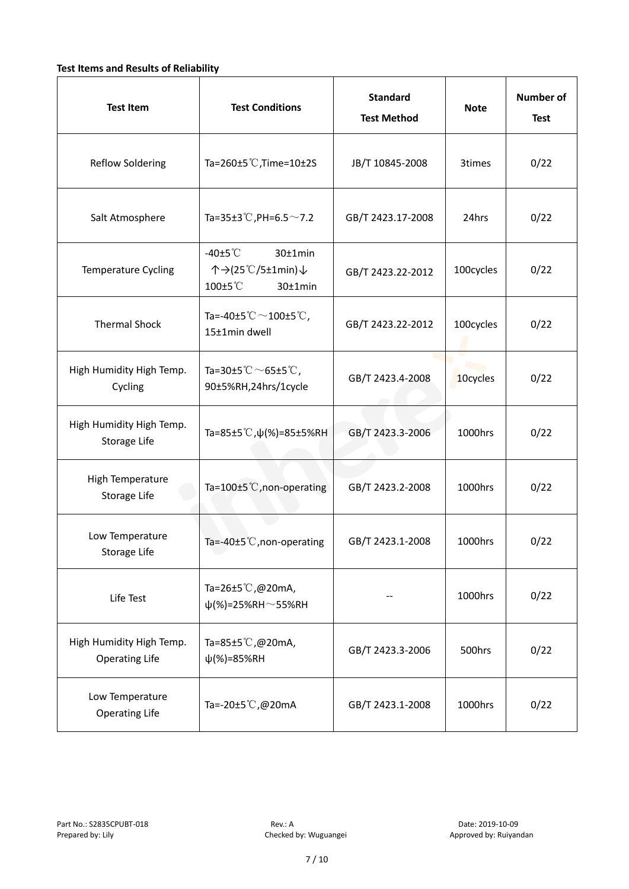#### **Test Items and Results of Reliability**

| <b>Test Item</b>                                  | <b>Standard</b><br><b>Test Conditions</b><br><b>Test Method</b>                                     |                                | <b>Note</b> | <b>Number of</b><br><b>Test</b> |
|---------------------------------------------------|-----------------------------------------------------------------------------------------------------|--------------------------------|-------------|---------------------------------|
| <b>Reflow Soldering</b>                           | Ta=260 $\pm$ 5 °C, Time=10 $\pm$ 2S                                                                 | JB/T 10845-2008                | 3times      | 0/22                            |
| Salt Atmosphere                                   | Ta=35±3°C, PH=6.5 $\sim$ 7.2<br>GB/T 2423.17-2008                                                   |                                | 24hrs       | 0/22                            |
| Temperature Cycling                               | -40 $±5^{\circ}$ C<br>$30±1$ min<br>个→(25℃/5±1min)↓<br>100±5°C<br>$30±1$ min                        | 100cycles<br>GB/T 2423.22-2012 |             | 0/22                            |
| <b>Thermal Shock</b>                              | Ta=-40±5 $\degree \text{C}$ $\sim$ 100±5 $\degree \text{C}$ ,<br>GB/T 2423.22-2012<br>15±1min dwell |                                | 100cycles   | 0/22                            |
| High Humidity High Temp.<br>Cycling               | Ta=30±5 °C $\sim$ 65±5 °C,<br>GB/T 2423.4-2008<br>90±5%RH,24hrs/1cycle                              |                                | 10cycles    | 0/22                            |
| High Humidity High Temp.<br>Storage Life          | Ta=85±5 °C, $\psi$ (%)=85±5%RH                                                                      | GB/T 2423.3-2006               | 1000hrs     | 0/22                            |
| High Temperature<br><b>Storage Life</b>           | Ta=100±5°C, non-operating                                                                           | GB/T 2423.2-2008               | 1000hrs     | 0/22                            |
| Low Temperature<br>Storage Life                   | Ta=-40±5℃, non-operating                                                                            | GB/T 2423.1-2008               | 1000hrs     | 0/22                            |
| Life Test                                         | Ta=26±5°C,@20mA,<br>$\psi$ (%)=25%RH~55%RH                                                          |                                | 1000hrs     | 0/22                            |
| High Humidity High Temp.<br><b>Operating Life</b> | Ta=85±5 $\degree$ C, @20mA,<br>$\psi$ (%)=85%RH                                                     | GB/T 2423.3-2006               | 500hrs      | 0/22                            |
| Low Temperature<br><b>Operating Life</b>          | Ta=-20±5℃,@20mA                                                                                     | GB/T 2423.1-2008               | 1000hrs     | 0/22                            |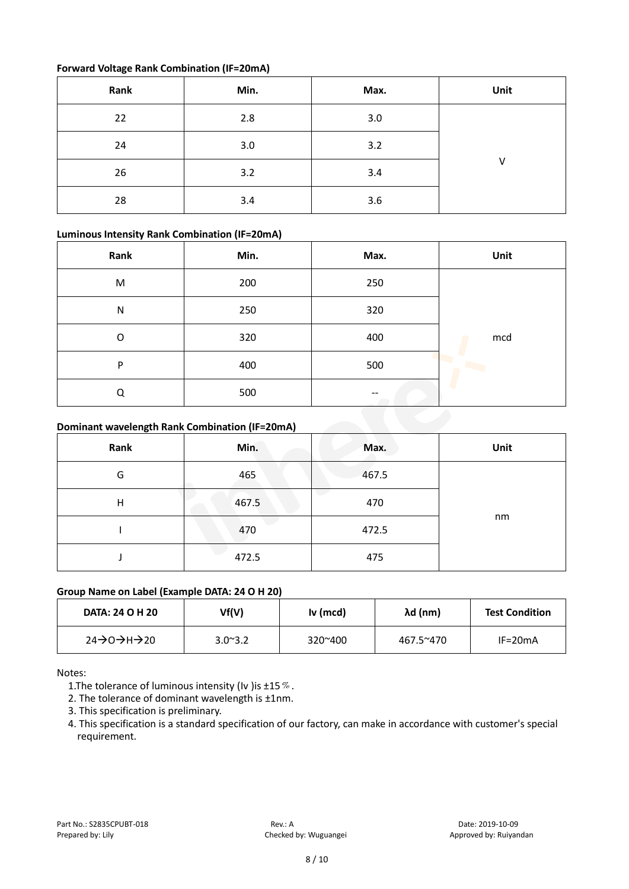#### **Forward Voltage Rank Combination (IF=20mA)**

| Rank | Min. | Max. | Unit |
|------|------|------|------|
| 22   | 2.8  | 3.0  |      |
| 24   | 3.0  | 3.2  |      |
| 26   | 3.2  | 3.4  | v    |
| 28   | 3.4  | 3.6  |      |

#### **Luminous Intensity Rank Combination (IF=20mA)**

| Rank         | Min. | Max. | Unit |
|--------------|------|------|------|
| M            | 200  | 250  |      |
| $\mathsf{N}$ | 250  | 320  |      |
| O            | 320  | 400  | mcd  |
| P            | 400  | 500  |      |
| Q            | 500  | --   |      |

#### **Dominant wavelength Rank Combination (IF=20mA)**

| Rank | Min.  | Max.  | Unit |
|------|-------|-------|------|
| G    | 465   | 467.5 |      |
| н    | 467.5 | 470   |      |
|      | 470   | 472.5 | nm   |
|      | 472.5 | 475   |      |

#### **Group Name on Label (Example DATA: 24 O H 20)**

| DATA: 24 O H 20 | Vf(V)            | Iv (mcd) | λd (nm)   | <b>Test Condition</b> |
|-----------------|------------------|----------|-----------|-----------------------|
| 24→0→H→20       | $3.0^{\circ}3.2$ | 320~400  | 467.5~470 | $IF=20mA$             |

Notes:

1. The tolerance of luminous intensity (Iv ) is  $\pm 15\%$ .

2. The tolerance of dominant wavelength is ±1nm.

- 3. This specification is preliminary.
- 4. This specification is a standard specification of our factory, can make in accordance with customer's special requirement.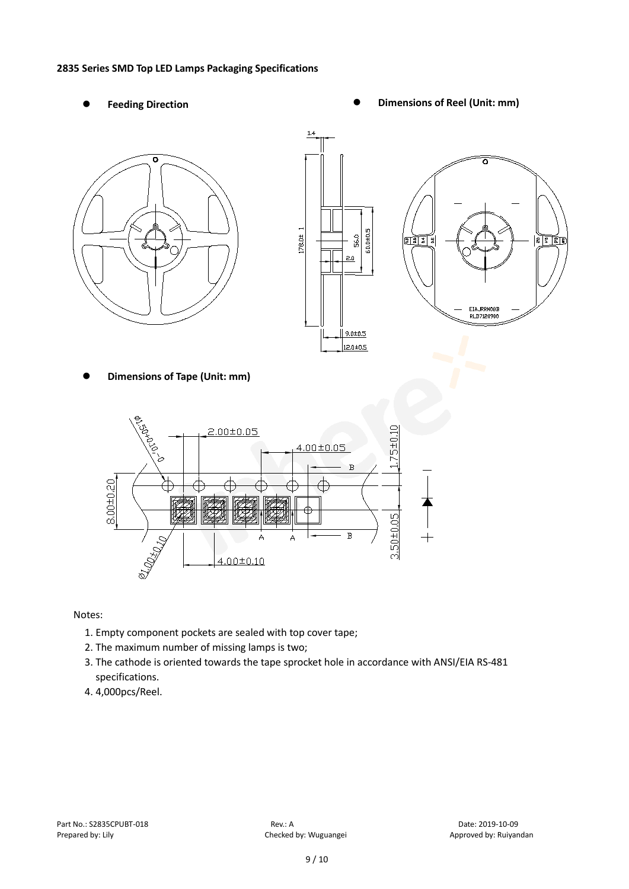#### **2835 Series SMD Top LED Lamps Packaging Specifications**

- 
- Feeding Direction **Constanting Construction Constanting Operations Construction Constanting Construction Constanting Construction**







**Dimensions of Tape (Unit: mm)**



Notes:

- 1. Empty component pockets are sealed with top cover tape;
- 2. The maximum number of missing lamps is two;
- 3. The cathode is oriented towards the tape sprocket hole in accordance with ANSI/EIA RS-481 specifications.
- 4. 4,000pcs/Reel.